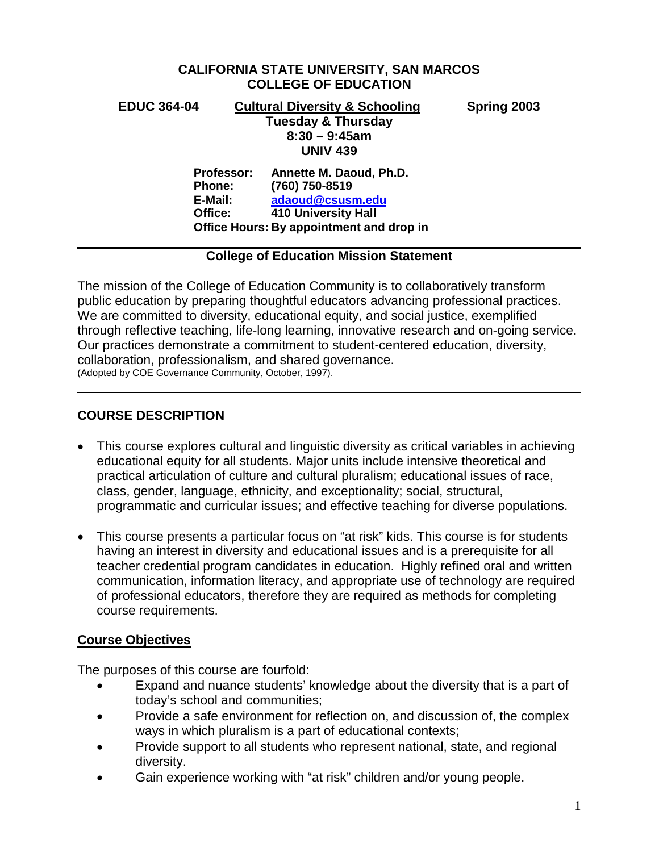## **CALIFORNIA STATE UNIVERSITY, SAN MARCOS COLLEGE OF EDUCATION**

## **EDUC 364-04 Cultural Diversity & Schooling Spring 2003**

**Tuesday & Thursday 8:30 – 9:45am UNIV 439 Professor: Annette M. Daoud, Ph.D. Phone: (760) 750-8519**

**E-Mail: [adaoud@csusm.edu](mailto:adaoud@csusm.edu) Office: 410 University Hall Office Hours: By appointment and drop in**

## **College of Education Mission Statement**

The mission of the College of Education Community is to collaboratively transform public education by preparing thoughtful educators advancing professional practices. We are committed to diversity, educational equity, and social justice, exemplified through reflective teaching, life-long learning, innovative research and on-going service. Our practices demonstrate a commitment to student-centered education, diversity, collaboration, professionalism, and shared governance. (Adopted by COE Governance Community, October, 1997).

## **COURSE DESCRIPTION**

- This course explores cultural and linguistic diversity as critical variables in achieving educational equity for all students. Major units include intensive theoretical and practical articulation of culture and cultural pluralism; educational issues of race, class, gender, language, ethnicity, and exceptionality; social, structural, programmatic and curricular issues; and effective teaching for diverse populations.
- This course presents a particular focus on "at risk" kids. This course is for students having an interest in diversity and educational issues and is a prerequisite for all teacher credential program candidates in education. Highly refined oral and written communication, information literacy, and appropriate use of technology are required of professional educators, therefore they are required as methods for completing course requirements.

## **Course Objectives**

The purposes of this course are fourfold:

- Expand and nuance students' knowledge about the diversity that is a part of today's school and communities;
- Provide a safe environment for reflection on, and discussion of, the complex ways in which pluralism is a part of educational contexts;
- Provide support to all students who represent national, state, and regional diversity.
- Gain experience working with "at risk" children and/or young people.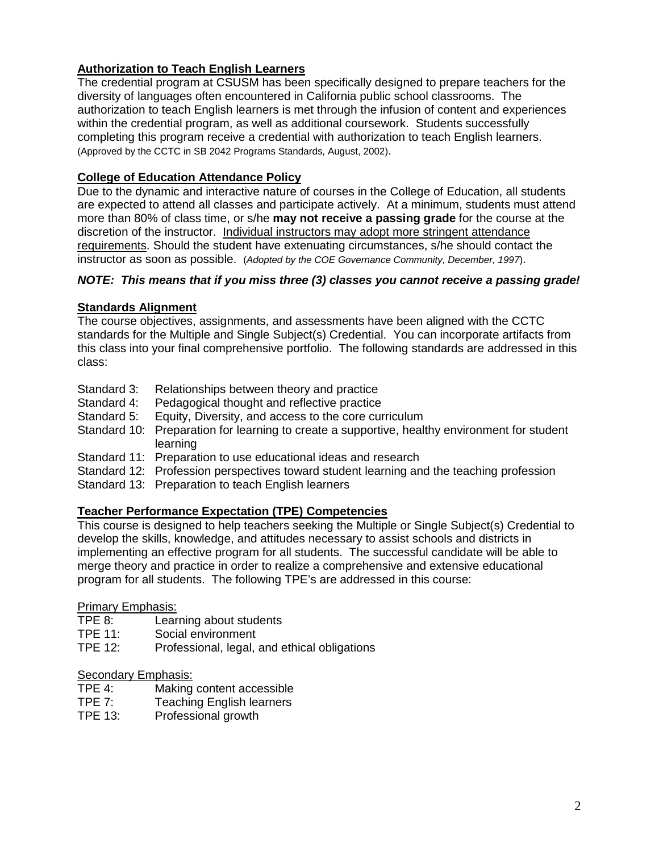## **Authorization to Teach English Learners**

The credential program at CSUSM has been specifically designed to prepare teachers for the diversity of languages often encountered in California public school classrooms. The authorization to teach English learners is met through the infusion of content and experiences within the credential program, as well as additional coursework. Students successfully completing this program receive a credential with authorization to teach English learners. (Approved by the CCTC in SB 2042 Programs Standards, August, 2002).

## **College of Education Attendance Policy**

Due to the dynamic and interactive nature of courses in the College of Education, all students are expected to attend all classes and participate actively. At a minimum, students must attend more than 80% of class time, or s/he **may not receive a passing grade** for the course at the discretion of the instructor. Individual instructors may adopt more stringent attendance requirements. Should the student have extenuating circumstances, s/he should contact the instructor as soon as possible. (*Adopted by the COE Governance Community, December, 1997*).

## *NOTE: This means that if you miss three (3) classes you cannot receive a passing grade!*

## **Standards Alignment**

The course objectives, assignments, and assessments have been aligned with the CCTC standards for the Multiple and Single Subject(s) Credential. You can incorporate artifacts from this class into your final comprehensive portfolio. The following standards are addressed in this class:

- Standard 3: Relationships between theory and practice<br>Standard 4: Pedagogical thought and reflective practice
- Pedagogical thought and reflective practice
- Standard 5: Equity, Diversity, and access to the core curriculum
- Standard 10: Preparation for learning to create a supportive, healthy environment for student learning
- Standard 11: Preparation to use educational ideas and research
- Standard 12: Profession perspectives toward student learning and the teaching profession
- Standard 13: Preparation to teach English learners

## **Teacher Performance Expectation (TPE) Competencies**

This course is designed to help teachers seeking the Multiple or Single Subject(s) Credential to develop the skills, knowledge, and attitudes necessary to assist schools and districts in implementing an effective program for all students. The successful candidate will be able to merge theory and practice in order to realize a comprehensive and extensive educational program for all students. The following TPE's are addressed in this course:

## Primary Emphasis:

- TPE 8: Learning about students
- TPE 11: Social environment<br>TPE 12: Professional legal
- Professional, legal, and ethical obligations

# Secondary Emphasis:<br>TPE 4: Making

- TPE 4: Making content accessible<br>TPE 7: Teaching English learners
- TPE 7: Teaching English learners<br>TPE 13: Professional growth
- Professional growth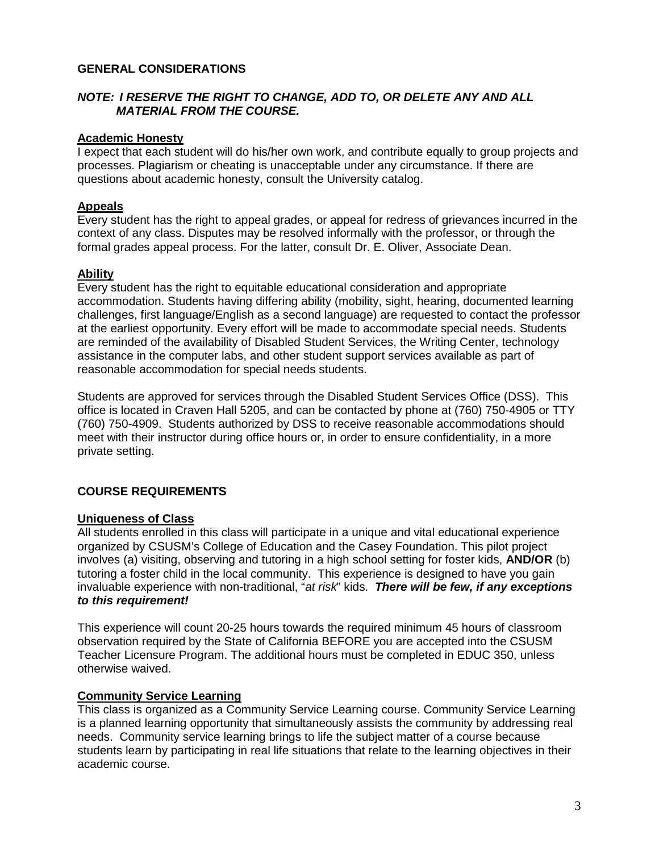## **GENERAL CONSIDERATIONS**

## *NOTE: I RESERVE THE RIGHT TO CHANGE, ADD TO, OR DELETE ANY AND ALL MATERIAL FROM THE COURSE.*

## **Academic Honesty**

I expect that each student will do his/her own work, and contribute equally to group projects and processes. Plagiarism or cheating is unacceptable under any circumstance. If there are questions about academic honesty, consult the University catalog.

## **Appeals**

Every student has the right to appeal grades, or appeal for redress of grievances incurred in the context of any class. Disputes may be resolved informally with the professor, or through the formal grades appeal process. For the latter, consult Dr. E. Oliver, Associate Dean.

## **Ability**

Every student has the right to equitable educational consideration and appropriate accommodation. Students having differing ability (mobility, sight, hearing, documented learning challenges, first language/English as a second language) are requested to contact the professor at the earliest opportunity. Every effort will be made to accommodate special needs. Students are reminded of the availability of Disabled Student Services, the Writing Center, technology assistance in the computer labs, and other student support services available as part of reasonable accommodation for special needs students.

Students are approved for services through the Disabled Student Services Office (DSS). This office is located in Craven Hall 5205, and can be contacted by phone at (760) 750-4905 or TTY (760) 750-4909. Students authorized by DSS to receive reasonable accommodations should meet with their instructor during office hours or, in order to ensure confidentiality, in a more private setting.

## **COURSE REQUIREMENTS**

## **Uniqueness of Class**

All students enrolled in this class will participate in a unique and vital educational experience organized by CSUSM's College of Education and the Casey Foundation. This pilot project involves (a) visiting, observing and tutoring in a high school setting for foster kids, **AND/OR** (b) tutoring a foster child in the local community. This experience is designed to have you gain invaluable experience with non-traditional, "*at risk*" kids. *There will be few, if any exceptions to this requirement!*

This experience will count 20-25 hours towards the required minimum 45 hours of classroom observation required by the State of California BEFORE you are accepted into the CSUSM Teacher Licensure Program. The additional hours must be completed in EDUC 350, unless otherwise waived.

## **Community Service Learning**

This class is organized as a Community Service Learning course. Community Service Learning is a planned learning opportunity that simultaneously assists the community by addressing real needs. Community service learning brings to life the subject matter of a course because students learn by participating in real life situations that relate to the learning objectives in their academic course.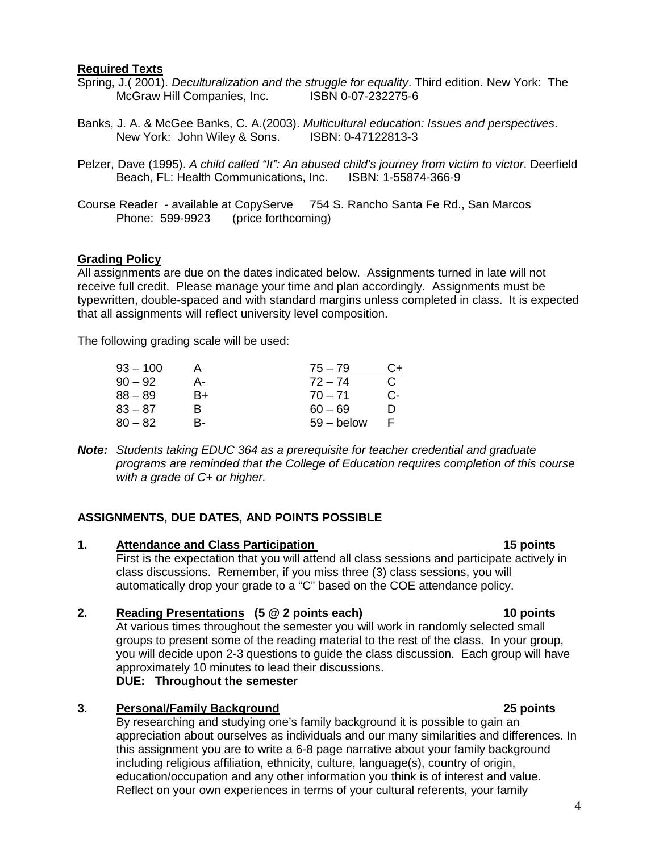## **Required Texts**

- Spring, J.( 2001). *Deculturalization and the struggle for equality*. Third edition. New York: The McGraw Hill Companies, Inc.
- Banks, J. A. & McGee Banks, C. A.(2003). *Multicultural education: Issues and perspectives*. New York: John Wiley & Sons. ISBN: 0-47122813-3
- Pelzer, Dave (1995). *A child called "It": An abused child's journey from victim to victor*. Deerfield Beach, FL: Health Communications, Inc.
- Course Reader available at CopyServe 754 S. Rancho Santa Fe Rd., San Marcos Phone: 599-9923 (price forthcoming)

### **Grading Policy**

All assignments are due on the dates indicated below. Assignments turned in late will not receive full credit. Please manage your time and plan accordingly. Assignments must be typewritten, double-spaced and with standard margins unless completed in class. It is expected that all assignments will reflect university level composition.

The following grading scale will be used:

| $93 - 100$ |    | $75 - 79$    | C+ |
|------------|----|--------------|----|
| $90 - 92$  | А- | $72 - 74$    | C. |
| $88 - 89$  | B+ | $70 - 71$    | С- |
| $83 - 87$  | R  | $60 - 69$    | n  |
| $80 - 82$  | R- | $59 -$ below | F  |

*Note: Students taking EDUC 364 as a prerequisite for teacher credential and graduate programs are reminded that the College of Education requires completion of this course with a grade of C+ or higher.*

## **ASSIGNMENTS, DUE DATES, AND POINTS POSSIBLE**

**1. Attendance and Class Participation 15 points** First is the expectation that you will attend all class sessions and participate actively in class discussions. Remember, if you miss three (3) class sessions, you will automatically drop your grade to a "C" based on the COE attendance policy.

## **2. Reading Presentations (5 @ 2 points each) 10 points**

At various times throughout the semester you will work in randomly selected small groups to present some of the reading material to the rest of the class. In your group, you will decide upon 2-3 questions to guide the class discussion. Each group will have approximately 10 minutes to lead their discussions.

## **DUE: Throughout the semester**

## **3. Personal/Family Background 25 points**

By researching and studying one's family background it is possible to gain an appreciation about ourselves as individuals and our many similarities and differences. In this assignment you are to write a 6-8 page narrative about your family background including religious affiliation, ethnicity, culture, language(s), country of origin, education/occupation and any other information you think is of interest and value. Reflect on your own experiences in terms of your cultural referents, your family

#### 4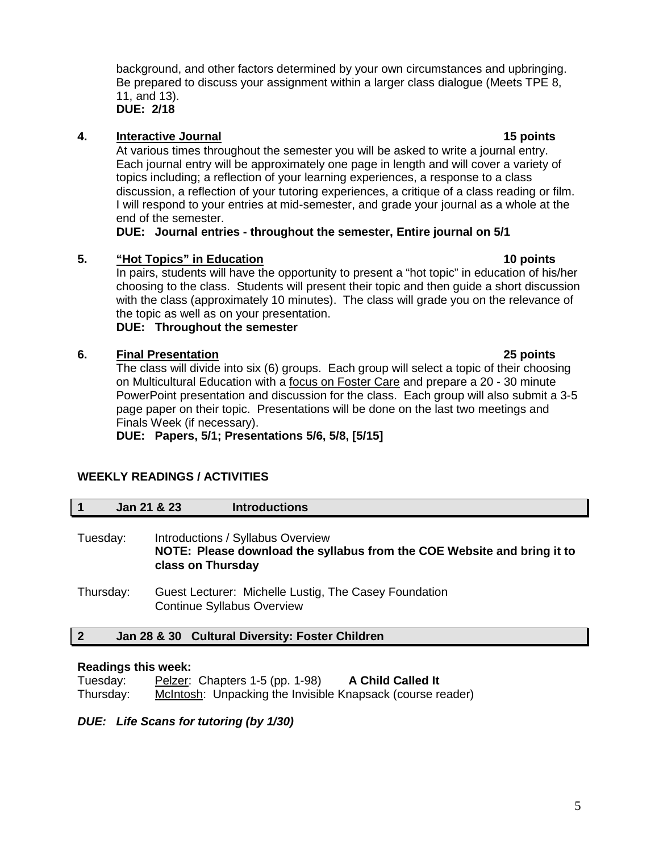background, and other factors determined by your own circumstances and upbringing. Be prepared to discuss your assignment within a larger class dialogue (Meets TPE 8, 11, and 13).

**DUE: 2/18**

## **4. Interactive Journal 15 points**

At various times throughout the semester you will be asked to write a journal entry. Each journal entry will be approximately one page in length and will cover a variety of topics including; a reflection of your learning experiences, a response to a class discussion, a reflection of your tutoring experiences, a critique of a class reading or film. I will respond to your entries at mid-semester, and grade your journal as a whole at the end of the semester.

## **DUE: Journal entries - throughout the semester, Entire journal on 5/1**

## **5. "Hot Topics" in Education 10 points**

In pairs, students will have the opportunity to present a "hot topic" in education of his/her choosing to the class. Students will present their topic and then guide a short discussion with the class (approximately 10 minutes). The class will grade you on the relevance of the topic as well as on your presentation.

## **DUE: Throughout the semester**

## **6. Final Presentation 25 points**

The class will divide into six (6) groups. Each group will select a topic of their choosing on Multicultural Education with a focus on Foster Care and prepare a 20 - 30 minute PowerPoint presentation and discussion for the class. Each group will also submit a 3-5 page paper on their topic. Presentations will be done on the last two meetings and Finals Week (if necessary).

**DUE: Papers, 5/1; Presentations 5/6, 5/8, [5/15]**

## **WEEKLY READINGS / ACTIVITIES**

|           | Jan 21 & 23 |                   | <b>Introductions</b>                                                                                         |
|-----------|-------------|-------------------|--------------------------------------------------------------------------------------------------------------|
| Tuesday:  |             | class on Thursday | Introductions / Syllabus Overview<br>NOTE: Please download the syllabus from the COE Website and bring it to |
| Thursday: |             |                   | Guest Lecturer: Michelle Lustig, The Casey Foundation<br><b>Continue Syllabus Overview</b>                   |

## **2 Jan 28 & 30 Cultural Diversity: Foster Children**

## **Readings this week:**

| Tuesday:  | Pelzer: Chapters $1-5$ (pp. $1-98$ )                       | <b>A Child Called It</b> |  |
|-----------|------------------------------------------------------------|--------------------------|--|
| Thursday: | McIntosh: Unpacking the Invisible Knapsack (course reader) |                          |  |

*DUE: Life Scans for tutoring (by 1/30)*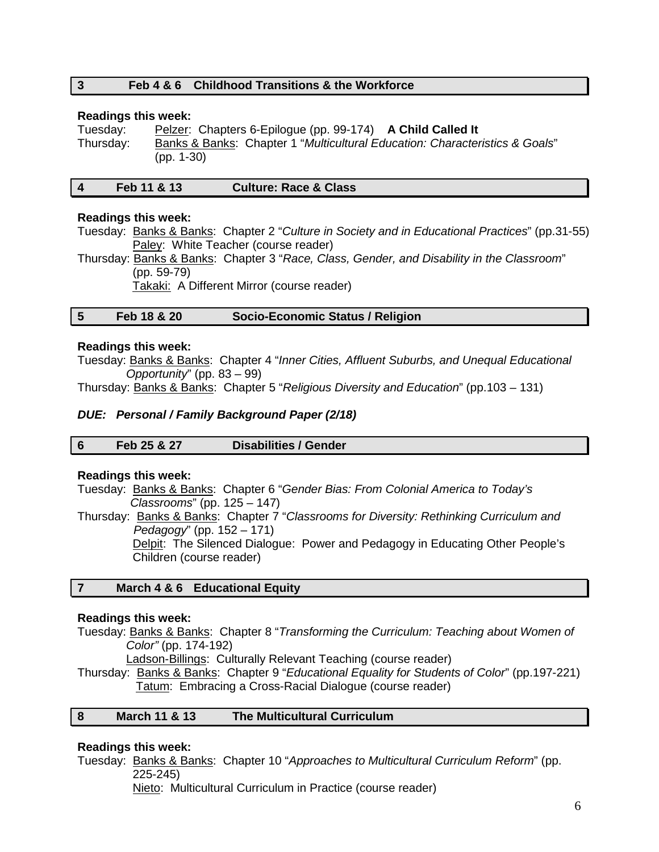## **3 Feb 4 & 6 Childhood Transitions & the Workforce**

#### **Readings this week:**

Tuesday: Pelzer: Chapters 6-Epilogue (pp. 99-174) **A Child Called It** Thursday: Banks & Banks: Chapter 1 "*Multicultural Education: Characteristics & Goals*" (pp. 1-30)

|  |  | Feb 11 & 13 | <b>Culture: Race &amp; Class</b> |
|--|--|-------------|----------------------------------|
|--|--|-------------|----------------------------------|

#### **Readings this week:**

Tuesday: Banks & Banks: Chapter 2 "*Culture in Society and in Educational Practices*" (pp.31-55) Paley: White Teacher (course reader)

Thursday: Banks & Banks: Chapter 3 "*Race, Class, Gender, and Disability in the Classroom*" (pp. 59-79)

Takaki: A Different Mirror (course reader)

## **5 Feb 18 & 20 Socio-Economic Status / Religion**

#### **Readings this week:**

Tuesday: Banks & Banks: Chapter 4 "*Inner Cities, Affluent Suburbs, and Unequal Educational Opportunity*" (pp. 83 – 99)

Thursday: Banks & Banks: Chapter 5 "*Religious Diversity and Education*" (pp.103 – 131)

### *DUE: Personal / Family Background Paper (2/18)*

| 6 | Feb 25 & 27 | <b>Disabilities / Gender</b> |
|---|-------------|------------------------------|
|---|-------------|------------------------------|

#### **Readings this week:**

Tuesday: Banks & Banks: Chapter 6 "*Gender Bias: From Colonial America to Today's Classrooms*" (pp. 125 – 147)

Thursday: Banks & Banks: Chapter 7 "*Classrooms for Diversity: Rethinking Curriculum and Pedagogy*" (pp. 152 – 171)

> Delpit: The Silenced Dialogue: Power and Pedagogy in Educating Other People's Children (course reader)

## **7 March 4 & 6 Educational Equity**

#### **Readings this week:**

Tuesday: Banks & Banks: Chapter 8 "*Transforming the Curriculum: Teaching about Women of Color"* (pp. 174-192)

Ladson-Billings: Culturally Relevant Teaching (course reader)

Thursday: Banks & Banks: Chapter 9 "*Educational Equality for Students of Color*" (pp.197-221) Tatum: Embracing a Cross-Racial Dialogue (course reader)

## **8 March 11 & 13 The Multicultural Curriculum**

#### **Readings this week:**

Tuesday: Banks & Banks: Chapter 10 "*Approaches to Multicultural Curriculum Reform*" (pp. 225-245)

Nieto: Multicultural Curriculum in Practice (course reader)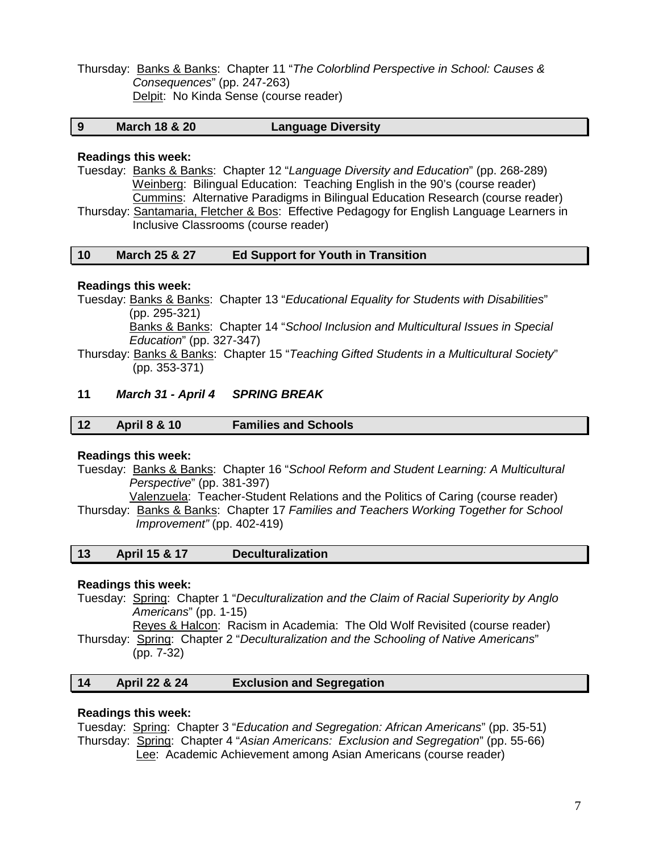Thursday: Banks & Banks: Chapter 11 "*The Colorblind Perspective in School: Causes & Consequences*" (pp. 247-263) Delpit: No Kinda Sense (course reader)

## **9 March 18 & 20 Language Diversity**

#### **Readings this week:**

Tuesday: Banks & Banks: Chapter 12 "*Language Diversity and Education*" (pp. 268-289) Weinberg: Bilingual Education: Teaching English in the 90's (course reader) Cummins: Alternative Paradigms in Bilingual Education Research (course reader) Thursday: Santamaria, Fletcher & Bos: Effective Pedagogy for English Language Learners in Inclusive Classrooms (course reader)

### **10 March 25 & 27 Ed Support for Youth in Transition**

#### **Readings this week:**

Tuesday: Banks & Banks: Chapter 13 "*Educational Equality for Students with Disabilities*" (pp. 295-321) Banks & Banks: Chapter 14 "*School Inclusion and Multicultural Issues in Special Education*" (pp. 327-347)

Thursday: Banks & Banks: Chapter 15 "*Teaching Gifted Students in a Multicultural Society*" (pp. 353-371)

#### **11** *March 31 - April 4 SPRING BREAK*

| 12 | <b>April 8 &amp; 10</b> | <b>Families and Schools</b> |
|----|-------------------------|-----------------------------|
|    |                         |                             |

#### **Readings this week:**

- Tuesday: Banks & Banks: Chapter 16 "*School Reform and Student Learning: A Multicultural Perspective*" (pp. 381-397)
- Valenzuela: Teacher-Student Relations and the Politics of Caring (course reader) Thursday: Banks & Banks: Chapter 17 *Families and Teachers Working Together for School Improvement"* (pp. 402-419)

| -13 | <b>April 15 &amp; 17</b> | <b>Deculturalization</b> |  |
|-----|--------------------------|--------------------------|--|
|-----|--------------------------|--------------------------|--|

### **Readings this week:**

Tuesday: Spring: Chapter 1 "*Deculturalization and the Claim of Racial Superiority by Anglo Americans*" (pp. 1-15)

 Reyes & Halcon: Racism in Academia: The Old Wolf Revisited (course reader) Thursday: Spring: Chapter 2 "*Deculturalization and the Schooling of Native Americans*" (pp. 7-32)

## **14 April 22 & 24 Exclusion and Segregation**

#### **Readings this week:**

Tuesday: Spring: Chapter 3 "*Education and Segregation: African Americans*" (pp. 35-51) Thursday: Spring: Chapter 4 "*Asian Americans: Exclusion and Segregation*" (pp. 55-66) Lee: Academic Achievement among Asian Americans (course reader)